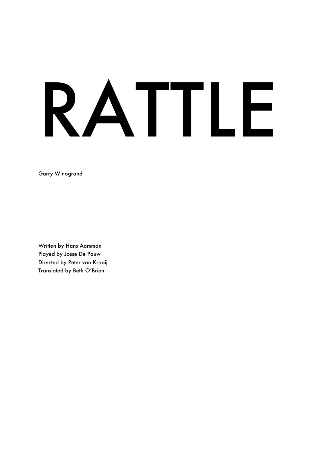## RATTLE

Garry Winogrand

Written by Hans Aarsman Played by Josse De Pauw Directed by Peter van Kraaij Translated by Beth O'Brien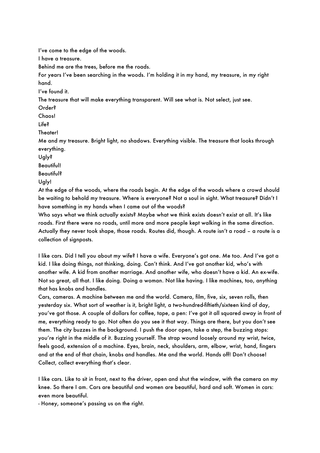I've come to the edge of the woods.

I have a treasure.

Behind me are the trees, before me the roads.

For years I've been searching in the woods. I'm holding it in my hand, my treasure, in my right hand.

I've found it.

The treasure that will make everything transparent. Will see what is. Not select, just see.

Order?

Chaos!

Life?

Theater!

Me and my treasure. Bright light, no shadows. Everything visible. The treasure that looks through everything.

Ugly?

Beautiful!

**Beautiful?** 

Ugly!

At the edge of the woods, where the roads begin. At the edge of the woods where a crowd should be waiting to behold my treasure. Where is everyone? Not a soul in sight. What treasure? Didn't I have something in my hands when I came out of the woods?

Who says what we think actually exists? Maybe what we think exists doesn't exist at all. It's like roads. First there were no roads, until more and more people kept walking in the same direction. Actually they never took shape, those roads. Routes did, though. A route isn't a road – a route is a collection of signposts.

I like cars. Did I tell you about my wife? I have a wife. Everyone's got one. Me too. And I've got a kid. I like doing things, not thinking, doing. Can't think. And I've got another kid, who's with another wife. A kid from another marriage. And another wife, who doesn't have a kid. An ex-wife. Not so great, all that. I like doing. Doing a woman. Not like having. I like machines, too, anything that has knobs and handles.

Cars, cameras. A machine between me and the world. Camera, film, five, six, seven rolls, then yesterday six. What sort of weather is it, bright light, a two-hundred-fiftieth/sixteen kind of day, you've got those. A couple of dollars for coffee, tape, a pen: I've got it all squared away in front of me, everything ready to go. Not often do you see it that way. Things are there, but you don't see them. The city buzzes in the background. I push the door open, take a step, the buzzing stops: you're right in the middle of it. Buzzing yourself. The strap wound loosely around my wrist, twice, feels good, extension of a machine. Eyes, brain, neck, shoulders, arm, elbow, wrist, hand, fingers and at the end of that chain, knobs and handles. Me and the world. Hands off! Don't choose! Collect, collect everything that's clear.

I like cars. Like to sit in front, next to the driver, open and shut the window, with the camera on my knee. So there I am. Cars are beautiful and women are beautiful, hard and soft. Women in cars: even more beautiful.

- Honey, someone's passing us on the right.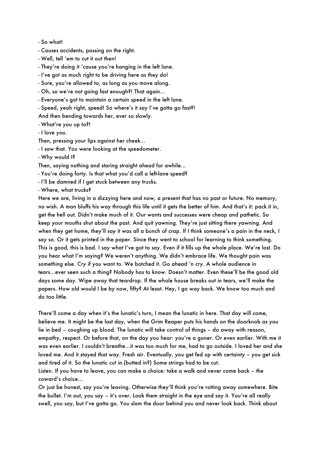- So what!
- Causes accidents, passing on the right.
- Well, tell 'em to cut it out then!
- They're doing it 'cause you're hanging in the left lane.
- I've got as much right to be driving here as they do!
- Sure, you're allowed to, as long as you move along.
- Oh, so we're not going fast enough?! That again...
- Everyone's got to maintain a certain speed in the left lane.
- Speed, yeah right, speed! So where's it say I've gotta go fast?!

And then bending towards her, ever so slowly.

- What're you up to?!
- I love you.
- Then, pressing your lips against her cheek...
- I saw that. You were looking at the speedometer.
- Why would I?

Then, saying nothing and staring straight ahead for awhile...

- You're doing forty. Is that what you'd call a left-lane speed?
- I'll be damned if I get stuck between any trucks.
- Where, what trucks?

Here we are, living in a dizzying here and now, a present that has no past or future. No memory, no wish. A man bluffs his way through this life until it gets the better of him. And that's it: pack it in, get the hell out. Didn't make much of it. Our wants and successes were cheap and pathetic. So keep your mouths shut about the past. And quit yawning. They're just sitting there yawning. And when they get home, they'll say it was all a bunch of crap. If I think someone's a pain in the neck, I say so. Or it gets printed in the paper. Since they went to school for learning to think something. This is good, this is bad. I say what I've got to say. Even if it fills up the whole place. We're lost. Do you hear what I'm saying? We weren't anything. We didn't embrace life. We thought pain was something else. Cry if you want to. We botched it. Go ahead 'n cry. A whole audience in tears...ever seen such a thing? Nobody has to know. Doesn't matter. Even these'll be the good old days some day. Wipe away that teardrop. If the whole house breaks out in tears, we'll make the papers. How old would I be by now, fifty? At least. Hey, I go way back. We know too much and do too little.

There'll come a day when it's the lunatic's turn, I mean the lunatic in here. That day will come, believe me. It might be the last day, when the Grim Reaper puts his hands on the doorknob as you lie in bed – coughing up blood. The lunatic will take control of things – do away with reason, empathy, respect. Or before that, on the day you hear: you're a goner. Or even earlier. With me it was even earlier. I couldn't breathe...it was too much for me, had to go outside. I loved her and she loved me. And it stayed that way. Fresh air. Eventually, you get fed up with certainty – you get sick and tired of it. So the lunatic cut in.(butted in?) Some strings had to be cut.

Listen. If you have to leave, you can make a choice: take a walk and never come back – the coward's choice...

Or just be honest, say you're leaving. Otherwise they'll think you're rotting away somewhere. Bite the bullet. I'm out, you say – it's over. Look them straight in the eye and say it. You're all really swell, you say, but I've gotta go. You slam the door behind you and never look back. Think about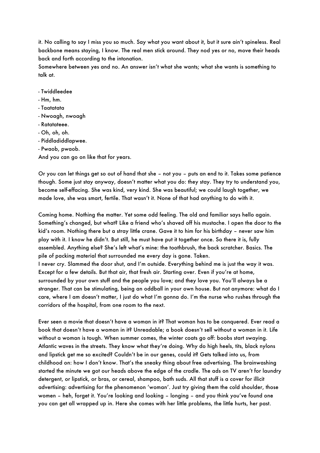it. No calling to say I miss you so much. Say what you want about it, but it sure ain't spineless. Real backbone means staying, I know. The real men stick around. They nod yes or no, move their heads back and forth according to the intonation.

Somewhere between yes and no. An answer isn't what she wants; what she wants is something to talk at.

- Twiddleedee
- Hm, hm.
- Taatatata
- Nwoagh, nwoagh
- Ratatateee.
- Oh, oh, oh.
- Piddladiddlapwee.
- Pwaob, pwaob.

And you can go on like that for years.

Or you can let things get so out of hand that she – not you – puts an end to it. Takes some patience though. Some just stay anyway, doesn't matter what you do: they stay. They try to understand you, become self-effacing. She was kind, very kind. She was beautiful; we could laugh together, we made love, she was smart, fertile. That wasn't it. None of that had anything to do with it.

Coming home. Nothing the matter. Yet some odd feeling. The old and familiar says hello again. Something's changed, but what? Like a friend who's shaved off his mustache. I open the door to the kid's room. Nothing there but a stray little crane. Gave it to him for his birthday – never saw him play with it. I know he didn't. But still, he must have put it together once. So there it is, fully assembled. Anything else? She's left what's mine: the toothbrush, the back scratcher. Basics. The pile of packing material that surrounded me every day is gone. Taken. I never cry. Slammed the door shut, and I'm outside. Everything behind me is just the way it was. Except for a few details. But that air, that fresh air. Starting over. Even if you're at home, surrounded by your own stuff and the people you love; and they love you. You'll always be a stranger. That can be stimulating, being an oddball in your own house. But not anymore: what do I care, where I am doesn't matter, I just do what I'm gonna do. I'm the nurse who rushes through the corridors of the hospital, from one room to the next.

Ever seen a movie that doesn't have a woman in it? That woman has to be conquered. Ever read a book that doesn't have a woman in it? Unreadable; a book doesn't sell without a woman in it. Life without a woman is tough. When summer comes, the winter coats go off: boobs start swaying. Atlantic waves in the streets. They know what they're doing. Why do high heels, tits, black nylons and lipstick get me so excited? Couldn't be in our genes, could it? Gets talked into us, from childhood on: how I don't know. That's the sneaky thing about free advertising. The brainwashing started the minute we got our heads above the edge of the cradle. The ads on TV aren't for laundry detergent, or lipstick, or bras, or cereal, shampoo, bath suds. All that stuff is a cover for illicit advertising: advertising for the phenomenon 'woman'. Just try giving them the cold shoulder, those women – heh, forget it. You're looking and looking – longing – and you think you've found one you can get all wrapped up in. Here she comes with her little problems, the little hurts, her past.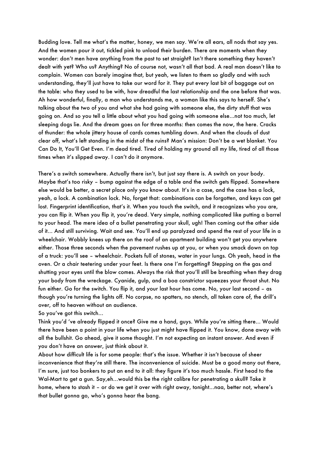Budding love. Tell me what's the matter, honey, we men say. We're all ears, all nods that say yes. And the women pour it out, tickled pink to unload their burden. There are moments when they wonder: don't men have anything from the past to set straight? Isn't there something they haven't dealt with yet? Who us? Anything? No of course not, wasn't all that bad. A real man doesn't like to complain. Women can barely imagine that, but yeah, we listen to them so gladly and with such understanding, they'll just have to take our word for it. They put every last bit of baggage out on the table: who they used to be with, how dreadful the last relationship and the one before that was. Ah how wonderful, finally, a man who understands me, a woman like this says to herself. She's talking about the two of you and what she had going with someone else, the dirty stuff that was going on. And so you tell a little about what you had going with someone else...not too much, let sleeping dogs lie. And the dream goes on for three months: then comes the now, the here. Cracks of thunder: the whole jittery house of cards comes tumbling down. And when the clouds of dust clear off, what's left standing in the midst of the ruins? Man's mission: Don't be a wet blanket. You Can Do It, You'll Get Even. I'm dead tired. Tired of holding my ground all my life, tired of all those times when it's slipped away. I can't do it anymore.

There's a switch somewhere. Actually there isn't, but just say there is. A switch on your body. Maybe that's too risky – bump against the edge of a table and the switch gets flipped. Somewhere else would be better, a secret place only you know about. It's in a case, and the case has a lock, yeah, a lock. A combination lock. No, forget that: combinations can be forgotten, and keys can get lost. Fingerprint identification, that's it. When you touch the switch, and it recognizes who you are, you can flip it. When you flip it, you're dead. Very simple, nothing complicated like putting a barrel to your head. The mere idea of a bullet penetrating your skull, ugh! Then coming out the other side of it... And still surviving. Wait and see. You'll end up paralyzed and spend the rest of your life in a wheelchair. Wobbly knees up there on the roof of an apartment building won't get you anywhere either. Those three seconds when the pavement rushes up at you, or when you smack down on top of a truck: you'll see – wheelchair. Pockets full of stones, water in your lungs. Oh yeah, head in the oven. Or a chair teetering under your feet. Is there one I'm forgetting? Stepping on the gas and shutting your eyes until the blow comes. Always the risk that you'll still be breathing when they drag your body from the wreckage. Cyanide, gulp, and a boa constrictor squeezes your throat shut. No fun either. Go for the switch. You flip it, and your last hour has come. No, your last second – as though you're turning the lights off. No corpse, no spatters, no stench, all taken care of, the drill's over, off to heaven without an audience.

So you've got this switch...

Think you'd 've already flipped it once? Give me a hand, guys. While you're sitting there... Would there have been a point in your life when you just might have flipped it. You know, done away with all the bullshit. Go ahead, give it some thought. I'm not expecting an instant answer. And even if you don't have an answer, just think about it.

About how difficult life is for some people: that's the issue. Whether it isn't because of sheer inconvenience that they're still there. The inconvenience of suicide. Must be a good many out there, I'm sure, just too bonkers to put an end to it all: they figure it's too much hassle. First head to the Wal-Mart to get a gun. Say,eh...would this be the right calibre for penetrating a skull? Take it home, where to stash it – or do we get it over with right away, tonight...naa, better not, where's that bullet gonna go, who's gonna hear the bang.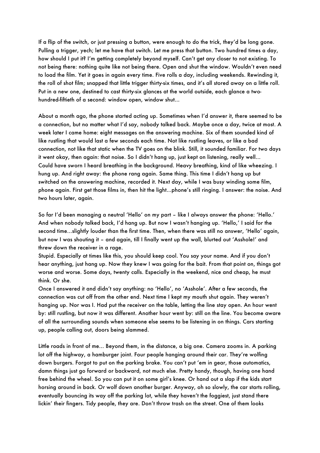If a flip of the switch, or just pressing a button, were enough to do the trick, they'd be long gone. Pulling a trigger, yech; let me have that switch. Let me press that button. Two hundred times a day, how should I put it? I'm getting completely beyond myself. Can't get any closer to not existing. To not being there: nothing quite like not being there. Open and shut the window. Wouldn't even need to load the film. Yet it goes in again every time. Five rolls a day, including weekends. Rewinding it, the roll of shot film; snapped that little trigger thirty-six times, and it's all stored away on a little roll. Put in a new one, destined to cast thirty-six glances at the world outside, each glance a twohundred-fiftieth of a second: window open, window shut...

About a month ago, the phone started acting up. Sometimes when I'd answer it, there seemed to be a connection, but no matter what I'd say, nobody talked back. Maybe once a day, twice at most. A week later I came home: eight messages on the answering machine. Six of them sounded kind of like rustling that would last a few seconds each time. Not like rustling leaves, or like a bad connection, not like that static when the TV goes on the blink. Still, it sounded familiar. For two days it went okay, then again: that noise. So I didn't hang up, just kept on listening, really well... Could have sworn I heard breathing in the background. Heavy breathing, kind of like wheezing. I hung up. And right away: the phone rang again. Same thing. This time I didn't hang up but switched on the answering machine, recorded it. Next day, while I was busy winding some film, phone again. First get those films in, then hit the light...phone's still ringing. I answer: the noise. And two hours later, again.

So far I'd been managing a neutral 'Hello' on my part – like I always answer the phone: 'Hello.' And when nobody talked back, I'd hang up. But now I wasn't hanging up. 'Hello,' I said for the second time...slightly louder than the first time. Then, when there was still no answer, 'Hello' again, but now I was shouting it – and again, till I finally went up the wall, blurted out 'Asshole!' and threw down the receiver in a rage.

Stupid. Especially at times like this, you should keep cool. You say your name. And if you don't hear anything, just hang up. Now they knew I was going for the bait. From that point on, things got worse and worse. Some days, twenty calls. Especially in the weekend, nice and cheap, he must think. Or she.

Once I answered it and didn't say anything: no 'Hello', no 'Asshole'. After a few seconds, the connection was cut off from the other end. Next time I kept my mouth shut again. They weren't hanging up. Nor was I. Had put the receiver on the table, letting the line stay open. An hour went by: still rustling, but now it was different. Another hour went by: still on the line. You become aware of all the surrounding sounds when someone else seems to be listening in on things. Cars starting up, people calling out, doors being slammed.

Little roads in front of me... Beyond them, in the distance, a big one. Camera zooms in. A parking lot off the highway, a hamburger joint. Four people hanging around their car. They're wolfing down burgers. Forgot to put on the parking brake. You can't put 'em in gear, those automatics, damn things just go forward or backward, not much else. Pretty handy, though, having one hand free behind the wheel. So you can put it on some girl's knee. Or hand out a slap if the kids start horsing around in back. Or wolf down another burger. Anyway, oh so slowly, the car starts rolling, eventually bouncing its way off the parking lot, while they haven't the foggiest, just stand there lickin' their fingers. Tidy people, they are. Don't throw trash on the street. One of them looks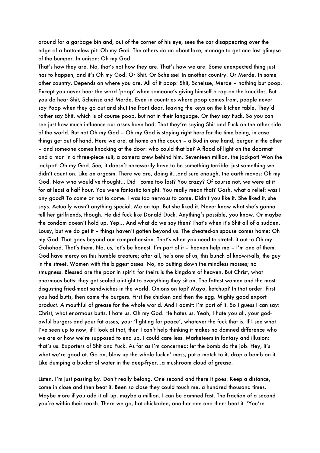around for a garbage bin and, out of the corner of his eye, sees the car disappearing over the edge of a bottomless pit: Oh my God. The others do an about-face, manage to get one last glimpse of the bumper. In unison: Oh my God.

That's how they are. No, that's not how they are. That's how we are. Some unexpected thing just has to happen, and it's Oh my God. Or Shit. Or Scheisse! In another country. Or Merde. In some other country. Depends on where you are. All of it poop: Shit, Scheisse, Merde – nothing but poop. Except you never hear the word 'poop' when someone's giving himself a rap on the knuckles. But you do hear Shit, Scheisse and Merde. Even in countries where poop comes from, people never say Poop when they go out and shut the front door, leaving the keys on the kitchen table. They'd rather say Shit, which is of course poop, but not in their language. Or they say Fuck. So you can see just how much influence our asses have had. That they're saying Shit and Fuck on the other side of the world. But not Oh my God – Oh my God is staying right here for the time being, in case things get out of hand. Here we are, at home on the couch – a Bud in one hand, burger in the other – and someone comes knocking at the door: who could that be? A flood of light on the doormat and a man in a three-piece suit, a camera crew behind him. Seventeen million, the jackpot! Won the jackpot! Oh my God. See, it doesn't necessarily have to be something terrible: just something we didn't count on. Like an orgasm. There we are, doing it...and sure enough, the earth moves: Oh my God. Now who would've thought... Did I come too fast? You crazy? Of course not, we were at it for at least a half hour. You were fantastic tonight. You really mean that? Gosh, what a relief: was I any good? To come or not to come. I was too nervous to come. Didn't you like it. She liked it, she says. Actually wasn't anything special. Me on top. But she liked it. Never know what she's gonna tell her girlfriends, though. He did fuck like Donald Duck. Anything's possible, you know. Or maybe the condom doesn't hold up. Yep... And what do we say then? That's when it's Shit all of a sudden. Lousy, but we do get it – things haven't gotten beyond us. The cheated-on spouse comes home: Oh my God. That goes beyond our comprehension. That's when you need to stretch it out to Oh my Gohohod. That's them. No, us, let's be honest, I'm part of it – heaven help me – I'm one of them. God have mercy on this humble creature; after all, he's one of us, this bunch of know-it-alls, the guy in the street. Women with the biggest asses. No, no putting down the mindless masses; no smugness. Blessed are the poor in spirit: for theirs is the kingdom of heaven. But Christ, what enormous butts: they get sealed air-tight to everything they sit on. The fattest women and the most disgusting fried-meat sandwiches in the world. Onions on top? Mayo, ketchup? In that order. First you had butts, then came the burgers. First the chicken and then the egg. Mighty good export product. A mouthful of grease for the whole world. And I admit: I'm part of it. So I guess I can say: Christ, what enormous butts. I hate us. Oh my God. He hates us. Yeah, I hate you all, your godawful burgers and your fat asses, your 'fighting for peace', whatever the fuck that is. If I see what I've seen up to now, if I look at that, then I can't help thinking it makes no damned difference who we are or how we're supposed to end up. I could care less. Marketeers in fantasy and illusion: that's us. Exporters of Shit and Fuck. As far as I'm concerned: let the bomb do the job. Hey, it's what we're good at. Go on, blow up the whole fuckin' mess, put a match to it, drop a bomb on it. Like dumping a bucket of water in the deep-fryer...a mushroom cloud of grease.

Listen, I'm just passing by. Don't really belong. One second and there it goes. Keep a distance, come in close and then beat it. Been so close they could touch me, a hundred thousand times. Maybe more if you add it all up, maybe a million. I can be damned fast. The fraction of a second you're within their reach. There we go, hot chickadee, another one and then: beat it. 'You're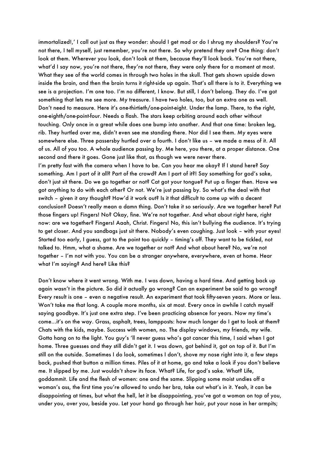immortalized!,' I call out just as they wonder: should I get mad or do I shrug my shoulders? You're not there, I tell myself, just remember, you're not there. So why pretend they are? One thing: don't look at them. Wherever you look, don't look at them, because they'll look back. You're not there, what'd I say now, you're not there, they're not there, they were only there for a moment at most. What they see of the world comes in through two holes in the skull. That gets shown upside down inside the brain, and then the brain turns it right-side up again. That's all there is to it. Everything we see is a projection. I'm one too. I'm no different, I know. But still, I don't belong. They do. I've got something that lets me see more. My treasure. I have two holes, too, but an extra one as well. Don't need to measure. Here it's one-thirtieth/one-point-eight. Under the lamp. There, to the right, one-eighth/one-point-four. Needs a flash. The stars keep orbiting around each other without touching. Only once in a great while does one bump into another. And that one time: broken leg, rib. They hurtled over me, didn't even see me standing there. Nor did I see them. My eyes were somewhere else. Three passersby hurtled over a fourth. I don't like us – we made a mess of it. All of us. All of you too. A whole audience passing by. Me here, you there, at a proper distance. One second and there it goes. Gone just like that, as though we were never there. I'm pretty fast with the camera when I have to be. Can you hear me okay? If I stand here? Say something. Am I part of it all? Part of the crowd? Am I part of it?! Say something for god's sake, don't just sit there. Do we go together or not? Cat got your tongue? Put up a finger then. Have we got anything to do with each other? Or not. We're just passing by. So what's the deal with that switch – given it any thought? How'd it work out? Is it that difficult to come up with a decent conclusion? Doesn't really mean a damn thing. Don't take it so seriously. Are we together here? Put those fingers up! Fingers! No? Okay, fine. We're not together. And what about right here, right now: are we together? Fingers! Aaah, Christ. Fingers! No, this isn't bullying the audience. It's trying to get closer. And you sandbags just sit there. Nobody's even coughing. Just look – with your eyes! Started too early, I guess, got to the point too quickly – timing's off. They want to be tickled, not talked to. Hmm, what a shame. Are we together or not? And what about here? No, we're not together – I'm not with you. You can be a stranger anywhere, everywhere, even at home. Hear what I'm saying? And here? Like this?

Don't know where it went wrong. With me. I was down, having a hard time. And getting back up again wasn't in the picture. So did it actually go wrong? Can an experiment be said to go wrong? Every result is one – even a negative result. An experiment that took fifty-seven years. More or less. Won't take me that long. A couple more months, six at most. Every once in awhile I catch myself saying goodbye. It's just one extra step. I've been practicing absence for years. Now my time's come...it's on the way. Grass, asphalt, trees, lampposts: how much longer do I get to look at them? Chats with the kids, maybe. Success with women, no. The display windows, my friends, my wife. Gotta hang on to the light. You guy's 'll never guess who's got cancer this time, I said when I got home. Three guesses and they still didn't get it. I was down, got behind it, got on top of it. But I'm still on the outside. Sometimes I do look, sometimes I don't, shove my nose right into it, a few steps back, pushed that button a million times. Piles of it at home, go and take a look if you don't believe me. It slipped by me. Just wouldn't show its face. What? Life, for god's sake. What? Life, goddammit. Life and the flesh of women: one and the same. Slipping some moist undies off a woman's ass, the first time you're allowed to undo her bra, take out what's in it. Yeah, it can be disappointing at times, but what the hell, let it be disappointing, you've got a woman on top of you, under you, over you, beside you. Let your hand go through her hair, put your nose in her armpits;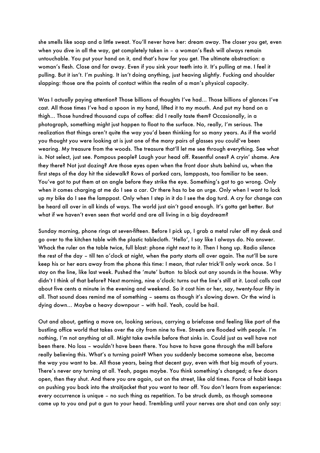she smells like soap and a little sweat. You'll never have her: dream away. The closer you get, even when you dive in all the way, get completely taken in - a woman's flesh will always remain untouchable. You put your hand on it, and that's how far you get. The ultimate abstraction: a woman's flesh. Close and far away. Even if you sink your teeth into it. It's pulling at me. I feel it pulling. But it isn't. I'm pushing. It isn't doing anything, just heaving slightly. Fucking and shoulder slapping: those are the points of contact within the realm of a man's physical capacity.

Was I actually paying attention? Those billions of thoughts I've had... Those billions of glances I've cast. All those times I've had a spoon in my hand, lifted it to my mouth. And put my hand on a thigh... Those hundred thousand cups of coffee: did I really taste them? Occasionally, in a photograph, something might just happen to float to the surface. No, really, I'm serious. The realization that things aren't quite the way you'd been thinking for so many years. As if the world you thought you were looking at is just one of the many pairs of glasses you could've been wearing. My treasure from the woods. The treasure that'll let me see through everything. See what is. Not select, just see. Pompous people? Laugh your head off. Resentful ones? A cryin' shame. Are they there? Not just dozing? Are those eyes open when the front door shuts behind us, when the first steps of the day hit the sidewalk? Rows of parked cars, lampposts, too familiar to be seen. You've got to put them at an angle before they strike the eye. Something's got to go wrong. Only when it comes charging at me do I see a car. Or there has to be an urge. Only when I want to lock up my bike do I see the lamppost. Only when I step in it do I see the dog turd. A cry for change can be heard all over in all kinds of ways. The world just ain't good enough. It's gotta get better. But what if we haven't even seen that world and are all living in a big daydream?

Sunday morning, phone rings at seven-fifteen. Before I pick up, I grab a metal ruler off my desk and go over to the kitchen table with the plastic tablecloth. 'Hello', I say like I always do. No answer. Whack the ruler on the table twice, full blast: phone right next to it. Then I hang up. Radio silence the rest of the day – till ten o'clock at night, when the party starts all over again. The nut'll be sure keep his or her ears away from the phone this time: I mean, that ruler trick'll only work once. So I stay on the line, like last week. Pushed the 'mute' button to block out any sounds in the house. Why didn't I think of that before? Next morning, nine o'clock: turns out the line's still at it. Local calls cost about five cents a minute in the evening and weekend. So it cost him or her, say, twenty-four fifty in all. That sound does remind me of something – seems as though it's slowing down. Or the wind is dying down... Maybe a heavy downpour – with hail. Yeah, could be hail.

Out and about, getting a move on, looking serious, carrying a briefcase and feeling like part of the bustling office world that takes over the city from nine to five. Streets are flooded with people. I'm nothing, I'm not anything at all. Might take awhile before that sinks in. Could just as well have not been there. No loss – wouldn't have been there. You have to have gone through the mill before really believing this. What's a turning point? When you suddenly become someone else, become the way you want to be. All those years, being that decent guy, even with that big mouth of yours. There's never any turning at all. Yeah, pages maybe. You think something's changed; a few doors open, then they shut. And there you are again, out on the street, like old times. Force of habit keeps on pushing you back into the straitjacket that you want to tear off. You don't learn from experience: every occurrence is unique – no such thing as repetition. To be struck dumb, as though someone came up to you and put a gun to your head. Trembling until your nerves are shot and can only say: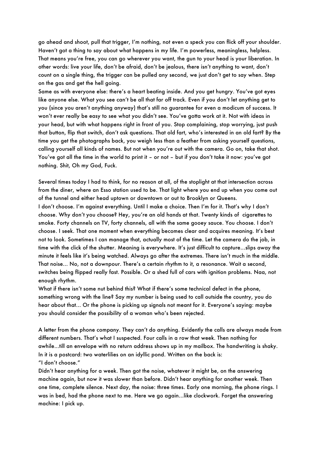go ahead and shoot, pull that trigger, I'm nothing, not even a speck you can flick off your shoulder. Haven't got a thing to say about what happens in my life. I'm powerless, meaningless, helpless. That means you're free, you can go wherever you want, the gun to your head is your liberation. In other words: live your life, don't be afraid, don't be jealous, there isn't anything to want, don't count on a single thing, the trigger can be pulled any second, we just don't get to say when. Step on the gas and get the hell going.

Same as with everyone else: there's a heart beating inside. And you get hungry. You've got eyes like anyone else. What you see can't be all that far off track. Even if you don't let anything get to you (since you aren't anything anyway) that's still no guarantee for even a modicum of success. It won't ever really be easy to see what you didn't see. You've gotta work at it. Not with ideas in your head, but with what happens right in front of you. Stop complaining, stop worrying, just push that button, flip that switch, don't ask questions. That old fart, who's interested in an old fart? By the time you get the photographs back, you weigh less than a feather from asking yourself questions, calling yourself all kinds of names. But not when you're out with the camera. Go on, take that shot. You've got all the time in the world to print it – or not – but if you don't take it now: you've got nothing. Shit, Oh my God, Fuck.

Several times today I had to think, for no reason at all, of the stoplight at that intersection across from the diner, where an Esso station used to be. That light where you end up when you come out of the tunnel and either head uptown or downtown or out to Brooklyn or Queens.

I don't choose. I'm against everything. Until I make a choice. Then I'm for it. That's why I don't choose. Why don't you choose? Hey, you're an old hands at that. Twenty kinds of cigarettes to smoke. Forty channels on TV, forty channels, all with the same gooey sauce. You choose. I don't choose. I seek. That one moment when everything becomes clear and acquires meaning. It's best not to look. Sometimes I can manage that, actually most of the time. Let the camera do the job, in time with the click of the shutter. Meaning is everywhere. It's just difficult to capture...slips away the minute it feels like it's being watched. Always go after the extremes. There isn't much in the middle. That noise... No, not a downpour. There's a certain rhythm to it, a resonance. Wait a second, switches being flipped really fast. Possible. Or a shed full of cars with ignition problems. Naa, not enough rhythm.

What if there isn't some nut behind this? What if there's some technical defect in the phone, something wrong with the line? Say my number is being used to call outside the country, you do hear about that... Or the phone is picking up signals not meant for it. Everyone's saying: maybe you should consider the possibility of a woman who's been rejected.

A letter from the phone company. They can't do anything. Evidently the calls are always made from different numbers. That's what I suspected. Four calls in a row that week. Then nothing for awhile...till an envelope with no return address shows up in my mailbox. The handwriting is shaky. In it is a postcard: two waterlilies on an idyllic pond. Written on the back is: "I don't choose."

Didn't hear anything for a week. Then got the noise, whatever it might be, on the answering machine again, but now it was slower than before. Didn't hear anything for another week. Then one time, complete silence. Next day, the noise: three times. Early one morning, the phone rings. I was in bed, had the phone next to me. Here we go again...like clockwork. Forget the answering machine: I pick up.